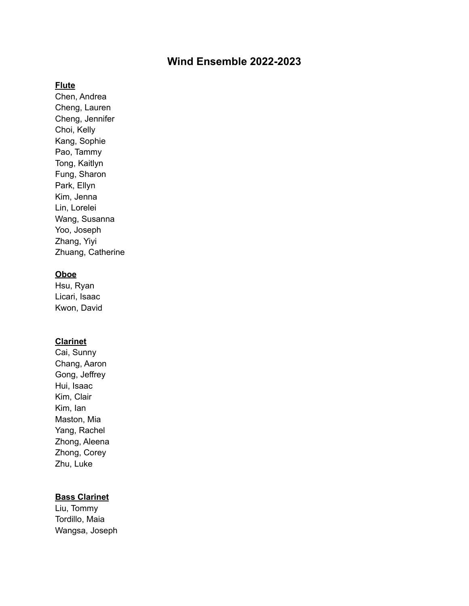# **Wind Ensemble 2022-2023**

#### **Flute**

Chen, Andrea Cheng, Lauren Cheng, Jennifer Choi, Kelly Kang, Sophie Pao, Tammy Tong, Kaitlyn Fung, Sharon Park, Ellyn Kim, Jenna Lin, Lorelei Wang, Susanna Yoo, Joseph Zhang, Yiyi Zhuang, Catherine

#### **Oboe**

Hsu, Ryan Licari, Isaac Kwon, David

### **Clarinet**

Cai, Sunny Chang, Aaron Gong, Jeffrey Hui, Isaac Kim, Clair Kim, Ian Maston, Mia Yang, Rachel Zhong, Aleena Zhong, Corey Zhu, Luke

#### **Bass Clarinet**

Liu, Tommy Tordillo, Maia Wangsa, Joseph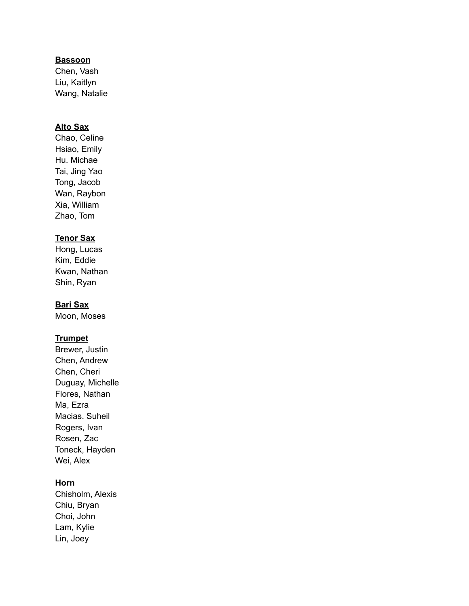### **Bassoon**

Chen, Vash Liu, Kaitlyn Wang, Natalie

## **Alto Sax**

Chao, Celine Hsiao, Emily Hu. Michae Tai, Jing Yao Tong, Jacob Wan, Raybon Xia, William Zhao, Tom

### **Tenor Sax**

Hong, Lucas Kim, Eddie Kwan, Nathan Shin, Ryan

### **Bari Sax**

Moon, Moses

### **Trumpet**

Brewer, Justin Chen, Andrew Chen, Cheri Duguay, Michelle Flores, Nathan Ma, Ezra Macias. Suheil Rogers, Ivan Rosen, Zac Toneck, Hayden Wei, Alex

#### **Horn**

Chisholm, Alexis Chiu, Bryan Choi, John Lam, Kylie Lin, Joey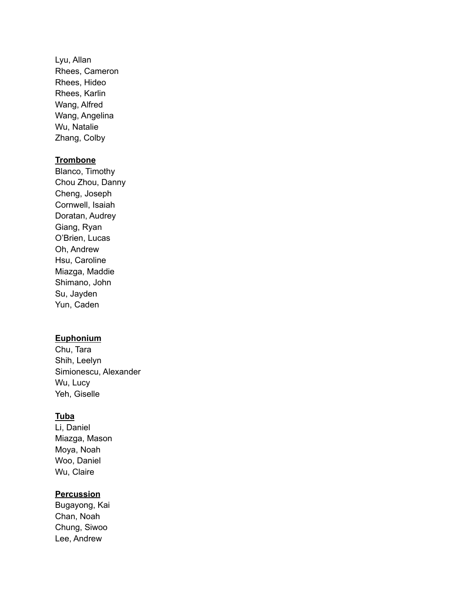Lyu, Allan Rhees, Cameron Rhees, Hideo Rhees, Karlin Wang, Alfred Wang, Angelina Wu, Natalie Zhang, Colby

#### **Trombone**

Blanco, Timothy Chou Zhou, Danny Cheng, Joseph Cornwell, Isaiah Doratan, Audrey Giang, Ryan O'Brien, Lucas Oh, Andrew Hsu, Caroline Miazga, Maddie Shimano, John Su, Jayden Yun, Caden

### **Euphonium**

Chu, Tara Shih, Leelyn Simionescu, Alexander Wu, Lucy Yeh, Giselle

### **Tuba**

Li, Daniel Miazga, Mason Moya, Noah Woo, Daniel Wu, Claire

# **Percussion**

Bugayong, Kai Chan, Noah Chung, Siwoo Lee, Andrew